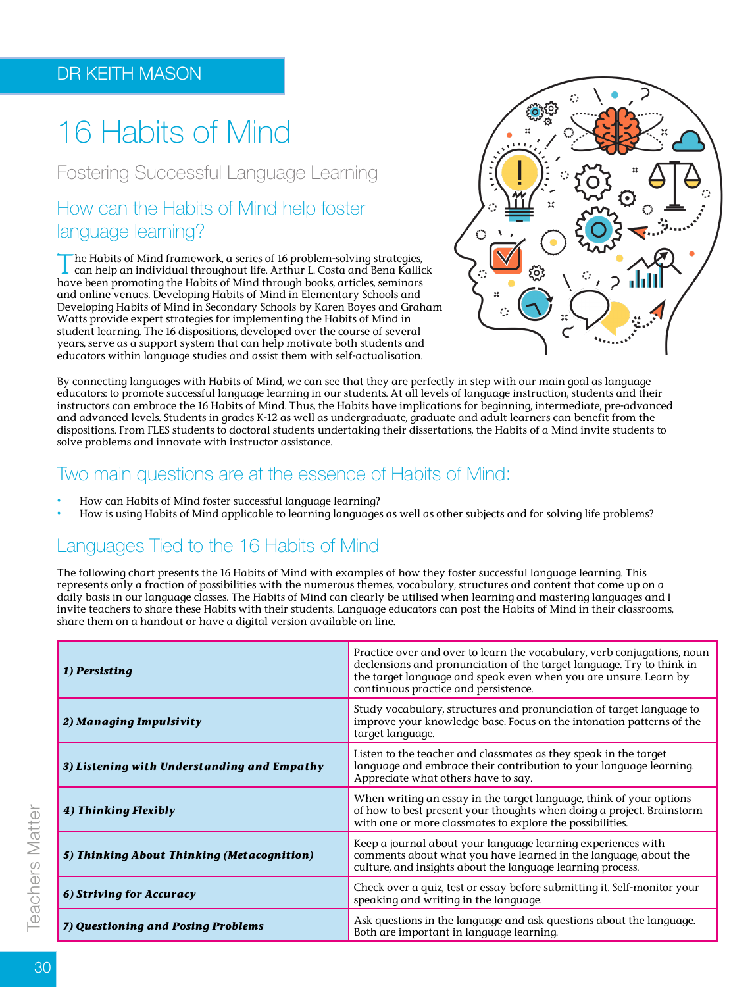# 16 Habits of Mind

Fostering Successful Language Learning

## How can the Habits of Mind help foster language learning?

The Habits of Mind framework, a series of 16 problem-solving strategies, can help an individual throughout life. Arthur L. Costa and Bena Kallick have been promoting the Habits of Mind through books, articles, seminars and online venues. Developing Habits of Mind in Elementary Schools and Developing Habits of Mind in Secondary Schools by Karen Boyes and Graham Watts provide expert strategies for implementing the Habits of Mind in student learning. The 16 dispositions, developed over the course of several years, serve as a support system that can help motivate both students and educators within language studies and assist them with self-actualisation.



By connecting languages with Habits of Mind, we can see that they are perfectly in step with our main goal as language educators: to promote successful language learning in our students. At all levels of language instruction, students and their instructors can embrace the 16 Habits of Mind. Thus, the Habits have implications for beginning, intermediate, pre-advanced and advanced levels. Students in grades K-12 as well as undergraduate, graduate and adult learners can benefit from the dispositions. From FLES students to doctoral students undertaking their dissertations, the Habits of a Mind invite students to solve problems and innovate with instructor assistance.

### Two main questions are at the essence of Habits of Mind:

- **•** How can Habits of Mind foster successful language learning?
- **•** How is using Habits of Mind applicable to learning languages as well as other subjects and for solving life problems?

# Languages Tied to the 16 Habits of Mind

The following chart presents the 16 Habits of Mind with examples of how they foster successful language learning. This represents only a fraction of possibilities with the numerous themes, vocabulary, structures and content that come up on a daily basis in our language classes. The Habits of Mind can clearly be utilised when learning and mastering languages and I invite teachers to share these Habits with their students. Language educators can post the Habits of Mind in their classrooms, share them on a handout or have a digital version available on line.

| 1) Persisting                               | Practice over and over to learn the vocabulary, verb conjugations, noun<br>declensions and pronunciation of the target language. Try to think in<br>the target language and speak even when you are unsure. Learn by<br>continuous practice and persistence. |
|---------------------------------------------|--------------------------------------------------------------------------------------------------------------------------------------------------------------------------------------------------------------------------------------------------------------|
| 2) Managing Impulsivity                     | Study vocabulary, structures and pronunciation of target language to<br>improve your knowledge base. Focus on the intonation patterns of the<br>target language.                                                                                             |
| 3) Listening with Understanding and Empathy | Listen to the teacher and classmates as they speak in the target<br>language and embrace their contribution to your language learning.<br>Appreciate what others have to say.                                                                                |
| 4) Thinking Flexibly                        | When writing an essay in the target language, think of your options<br>of how to best present your thoughts when doing a project. Brainstorm<br>with one or more classmates to explore the possibilities.                                                    |
| 5) Thinking About Thinking (Metacognition)  | Keep a journal about your language learning experiences with<br>comments about what you have learned in the language, about the<br>culture, and insights about the language learning process.                                                                |
| 6) Striving for Accuracy                    | Check over a quiz, test or essay before submitting it. Self-monitor your<br>speaking and writing in the language.                                                                                                                                            |
| 7) Questioning and Posing Problems          | Ask questions in the language and ask questions about the language.<br>Both are important in language learning.                                                                                                                                              |